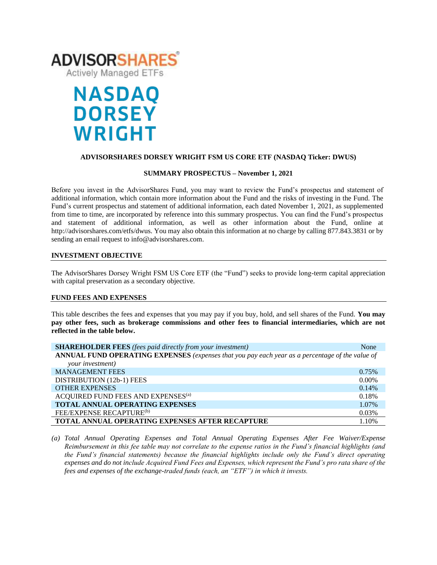

# **NASDAQ DORSEY WRIGHT**

# **ADVISORSHARES DORSEY WRIGHT FSM US CORE ETF (NASDAQ Ticker: DWUS)**

# **SUMMARY PROSPECTUS – November 1, 2021**

Before you invest in the AdvisorShares Fund, you may want to review the Fund's prospectus and statement of additional information, which contain more information about the Fund and the risks of investing in the Fund. The Fund's current prospectus [and statement of additional information,](https://www.sec.gov/ix?doc=/Archives/edgar/data/1408970/000182912621013072/ck0001408970-20210630.htm) each dated November 1, 2021, as supplemented from time to time, are incorporated by reference into this summary prospectus. You can find the Fund's prospectus and statement of additional information, as well as other information about the Fund, online at http://advisorshares.com/etfs/dwus. You may also obtain this information at no charge by calling 877.843.3831 or by sending an email request to info@advisorshares.com.

# **INVESTMENT OBJECTIVE**

The AdvisorShares Dorsey Wright FSM US Core ETF (the "Fund") seeks to provide long-term capital appreciation with capital preservation as a secondary objective.

# **FUND FEES AND EXPENSES**

This table describes the fees and expenses that you may pay if you buy, hold, and sell shares of the Fund. **You may pay other fees, such as brokerage commissions and other fees to financial intermediaries, which are not reflected in the table below.**

| <b>SHAREHOLDER FEES</b> (fees paid directly from your investment)                               | None     |
|-------------------------------------------------------------------------------------------------|----------|
| ANNUAL FUND OPERATING EXPENSES (expenses that you pay each year as a percentage of the value of |          |
| your investment)                                                                                |          |
| <b>MANAGEMENT FEES</b>                                                                          | 0.75%    |
| DISTRIBUTION (12b-1) FEES                                                                       | $0.00\%$ |
| <b>OTHER EXPENSES</b>                                                                           | 0.14%    |
| ACQUIRED FUND FEES AND EXPENSES <sup>(a)</sup>                                                  | 0.18%    |
| TOTAL ANNUAL OPERATING EXPENSES                                                                 | 1.07%    |
| FEE/EXPENSE RECAPTURE <sup>(b)</sup>                                                            | 0.03%    |
| <b>TOTAL ANNUAL OPERATING EXPENSES AFTER RECAPTURE</b>                                          | 1.10%    |

*(a) Total Annual Operating Expenses and Total Annual Operating Expenses After Fee Waiver/Expense Reimbursement in this fee table may not correlate to the expense ratios in the Fund's financial highlights (and the Fund's financial statements) because the financial highlights include only the Fund's direct operating expenses and do not include Acquired Fund Fees and Expenses, which represent the Fund's pro rata share of the fees and expenses of the exchange-traded funds (each, an "ETF") in which it invests.*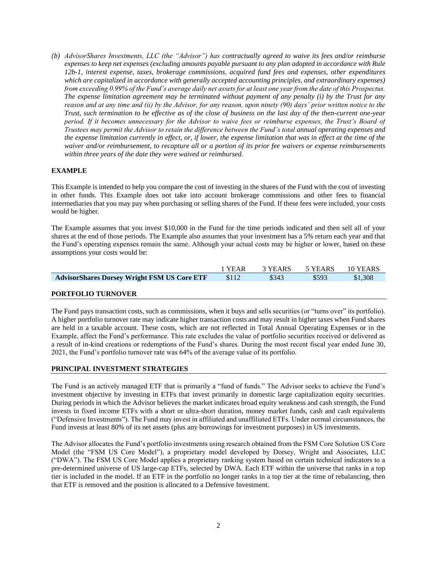*(b) AdvisorShares Investments, LLC (the "Advisor") has contractually agreed to waive its fees and/or reimburse expenses to keep net expenses (excluding amounts payable pursuant to any plan adopted in accordance with Rule 12b-1, interest expense, taxes, brokerage commissions, acquired fund fees and expenses, other expenditures which are capitalized in accordance with generally accepted accounting principles, and extraordinary expenses) from exceeding 0.99% of the Fund's average daily net assets for at least one year from the date of this Prospectus. The expense limitation agreement may be terminated without payment of any penalty (i) by the Trust for any reason and at any time and (ii) by the Advisor, for any reason, upon ninety (90) days' prior written notice to the Trust, such termination to be effective as of the close of business on the last day of the then-current one-year period. If it becomes unnecessary for the Advisor to waive fees or reimburse expenses, the Trust's Board of Trustees may permit the Advisor to retain the difference between the Fund's total annual operating expenses and the expense limitation currently in effect, or, if lower, the expense limitation that was in effect at the time of the waiver and/or reimbursement, to recapture all or a portion of its prior fee waivers or expense reimbursements within three years of the date they were waived or reimbursed.*

# **EXAMPLE**

This Example is intended to help you compare the cost of investing in the shares of the Fund with the cost of investing in other funds. This Example does not take into account brokerage commissions and other fees to financial intermediaries that you may pay when purchasing or selling shares of the Fund. If these fees were included, your costs would be higher.

The Example assumes that you invest \$10,000 in the Fund for the time periods indicated and then sell all of your shares at the end of those periods. The Example also assumes that your investment has a 5% return each year and that the Fund's operating expenses remain the same. Although your actual costs may be higher or lower, based on these assumptions your costs would be:

|                                                    | 1 YEAR | 3 YEARS | 5 YEARS | 10 YEARS |
|----------------------------------------------------|--------|---------|---------|----------|
| <b>AdvisorShares Dorsey Wright FSM US Core ETF</b> | \$112  | \$343   | \$593   | \$1,308  |

# **PORTFOLIO TURNOVER**

The Fund pays transaction costs, such as commissions, when it buys and sells securities (or "turns over" its portfolio). A higher portfolio turnover rate may indicate higher transaction costs and may result in higher taxes when Fund shares are held in a taxable account. These costs, which are not reflected in Total Annual Operating Expenses or in the Example, affect the Fund's performance. This rate excludes the value of portfolio securities received or delivered as a result of in-kind creations or redemptions of the Fund's shares. During the most recent fiscal year ended June 30, 2021, the Fund's portfolio turnover rate was 64% of the average value of its portfolio.

# **PRINCIPAL INVESTMENT STRATEGIES**

The Fund is an actively managed ETF that is primarily a "fund of funds." The Advisor seeks to achieve the Fund's investment objective by investing in ETFs that invest primarily in domestic large capitalization equity securities. During periods in which the Advisor believes the market indicates broad equity weakness and cash strength, the Fund invests in fixed income ETFs with a short or ultra-short duration, money market funds, cash and cash equivalents ("Defensive Investments"). The Fund may invest in affiliated and unaffiliated ETFs. Under normal circumstances, the Fund invests at least 80% of its net assets (plus any borrowings for investment purposes) in US investments.

The Advisor allocates the Fund's portfolio investments using research obtained from the FSM Core Solution US Core Model (the "FSM US Core Model"), a proprietary model developed by Dorsey, Wright and Associates, LLC ("DWA"). The FSM US Core Model applies a proprietary ranking system based on certain technical indicators to a pre-determined universe of US large-cap ETFs, selected by DWA. Each ETF within the universe that ranks in a top tier is included in the model. If an ETF in the portfolio no longer ranks in a top tier at the time of rebalancing, then that ETF is removed and the position is allocated to a Defensive Investment.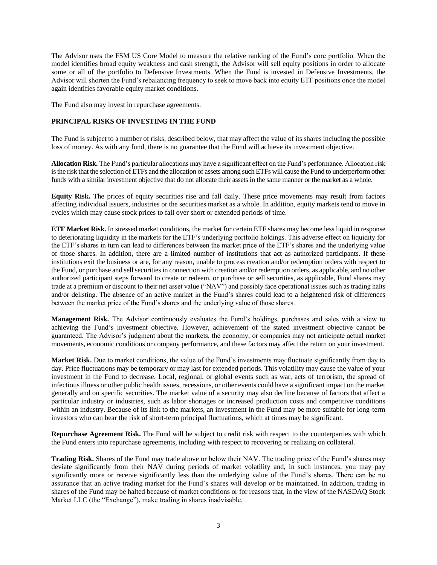The Advisor uses the FSM US Core Model to measure the relative ranking of the Fund's core portfolio. When the model identifies broad equity weakness and cash strength, the Advisor will sell equity positions in order to allocate some or all of the portfolio to Defensive Investments. When the Fund is invested in Defensive Investments, the Advisor will shorten the Fund's rebalancing frequency to seek to move back into equity ETF positions once the model again identifies favorable equity market conditions.

The Fund also may invest in repurchase agreements.

# **PRINCIPAL RISKS OF INVESTING IN THE FUND**

The Fund is subject to a number of risks, described below, that may affect the value of its shares including the possible loss of money. As with any fund, there is no guarantee that the Fund will achieve its investment objective.

**Allocation Risk.** The Fund's particular allocations may have a significant effect on the Fund's performance. Allocation risk is the risk that the selection of ETFs and the allocation of assets among such ETFs will cause the Fund to underperform other funds with a similar investment objective that do not allocate their assets in the same manner or the market as a whole.

**Equity Risk.** The prices of equity securities rise and fall daily. These price movements may result from factors affecting individual issuers, industries or the securities market as a whole. In addition, equity markets tend to move in cycles which may cause stock prices to fall over short or extended periods of time.

**ETF Market Risk.** In stressed market conditions, the market for certain ETF shares may become less liquid in response to deteriorating liquidity in the markets for the ETF's underlying portfolio holdings. This adverse effect on liquidity for the ETF's shares in turn can lead to differences between the market price of the ETF's shares and the underlying value of those shares. In addition, there are a limited number of institutions that act as authorized participants. If these institutions exit the business or are, for any reason, unable to process creation and/or redemption orders with respect to the Fund, or purchase and sell securities in connection with creation and/or redemption orders, as applicable, and no other authorized participant steps forward to create or redeem, or purchase or sell securities, as applicable, Fund shares may trade at a premium or discount to their net asset value ("NAV") and possibly face operational issues such as trading halts and/or delisting. The absence of an active market in the Fund's shares could lead to a heightened risk of differences between the market price of the Fund's shares and the underlying value of those shares.

**Management Risk.** The Advisor continuously evaluates the Fund's holdings, purchases and sales with a view to achieving the Fund's investment objective. However, achievement of the stated investment objective cannot be guaranteed. The Advisor's judgment about the markets, the economy, or companies may not anticipate actual market movements, economic conditions or company performance, and these factors may affect the return on your investment.

**Market Risk.** Due to market conditions, the value of the Fund's investments may fluctuate significantly from day to day. Price fluctuations may be temporary or may last for extended periods. This volatility may cause the value of your investment in the Fund to decrease. Local, regional, or global events such as war, acts of terrorism, the spread of infectious illness or other public health issues, recessions, or other events could have a significant impact on the market generally and on specific securities. The market value of a security may also decline because of factors that affect a particular industry or industries, such as labor shortages or increased production costs and competitive conditions within an industry. Because of its link to the markets, an investment in the Fund may be more suitable for long-term investors who can bear the risk of short-term principal fluctuations, which at times may be significant.

**Repurchase Agreement Risk.** The Fund will be subject to credit risk with respect to the counterparties with which the Fund enters into repurchase agreements, including with respect to recovering or realizing on collateral.

**Trading Risk.** Shares of the Fund may trade above or below their NAV. The trading price of the Fund's shares may deviate significantly from their NAV during periods of market volatility and, in such instances, you may pay significantly more or receive significantly less than the underlying value of the Fund's shares. There can be no assurance that an active trading market for the Fund's shares will develop or be maintained. In addition, trading in shares of the Fund may be halted because of market conditions or for reasons that, in the view of the NASDAQ Stock Market LLC (the "Exchange"), make trading in shares inadvisable.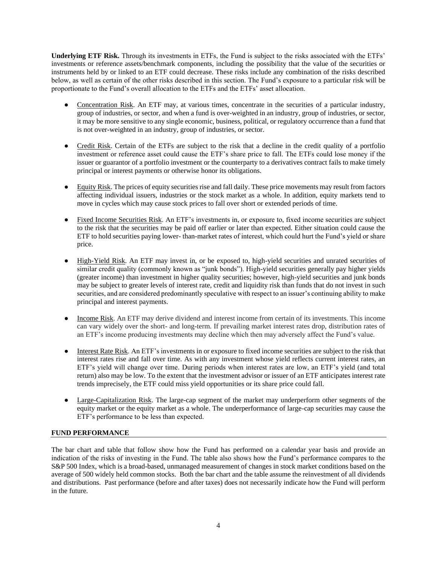**Underlying ETF Risk.** Through its investments in ETFs, the Fund is subject to the risks associated with the ETFs' investments or reference assets/benchmark components, including the possibility that the value of the securities or instruments held by or linked to an ETF could decrease. These risks include any combination of the risks described below, as well as certain of the other risks described in this section. The Fund's exposure to a particular risk will be proportionate to the Fund's overall allocation to the ETFs and the ETFs' asset allocation.

- Concentration Risk. An ETF may, at various times, concentrate in the securities of a particular industry, group of industries, or sector, and when a fund is over-weighted in an industry, group of industries, or sector, it may be more sensitive to any single economic, business, political, or regulatory occurrence than a fund that is not over-weighted in an industry, group of industries, or sector.
- Credit Risk. Certain of the ETFs are subject to the risk that a decline in the credit quality of a portfolio investment or reference asset could cause the ETF's share price to fall. The ETFs could lose money if the issuer or guarantor of a portfolio investment or the counterparty to a derivatives contract fails to make timely principal or interest payments or otherwise honor its obligations.
- Equity Risk. The prices of equity securities rise and fall daily. These price movements may result from factors affecting individual issuers, industries or the stock market as a whole. In addition, equity markets tend to move in cycles which may cause stock prices to fall over short or extended periods of time.
- Fixed Income Securities Risk. An ETF's investments in, or exposure to, fixed income securities are subject to the risk that the securities may be paid off earlier or later than expected. Either situation could cause the ETF to hold securities paying lower- than-market rates of interest, which could hurt the Fund's yield or share price.
- High-Yield Risk. An ETF may invest in, or be exposed to, high-yield securities and unrated securities of similar credit quality (commonly known as "junk bonds"). High-yield securities generally pay higher yields (greater income) than investment in higher quality securities; however, high-yield securities and junk bonds may be subject to greater levels of interest rate, credit and liquidity risk than funds that do not invest in such securities, and are considered predominantly speculative with respect to an issuer's continuing ability to make principal and interest payments.
- Income Risk. An ETF may derive dividend and interest income from certain of its investments. This income can vary widely over the short- and long-term. If prevailing market interest rates drop, distribution rates of an ETF's income producing investments may decline which then may adversely affect the Fund's value.
- Interest Rate Risk. An ETF's investments in or exposure to fixed income securities are subject to the risk that interest rates rise and fall over time. As with any investment whose yield reflects current interest rates, an ETF's yield will change over time. During periods when interest rates are low, an ETF's yield (and total return) also may be low. To the extent that the investment advisor or issuer of an ETF anticipates interest rate trends imprecisely, the ETF could miss yield opportunities or its share price could fall.
- Large-Capitalization Risk. The large-cap segment of the market may underperform other segments of the equity market or the equity market as a whole. The underperformance of large-cap securities may cause the ETF's performance to be less than expected.

# **FUND PERFORMANCE**

The bar chart and table that follow show how the Fund has performed on a calendar year basis and provide an indication of the risks of investing in the Fund. The table also shows how the Fund's performance compares to the S&P 500 Index, which is a broad-based, unmanaged measurement of changes in stock market conditions based on the average of 500 widely held common stocks. Both the bar chart and the table assume the reinvestment of all dividends and distributions. Past performance (before and after taxes) does not necessarily indicate how the Fund will perform in the future.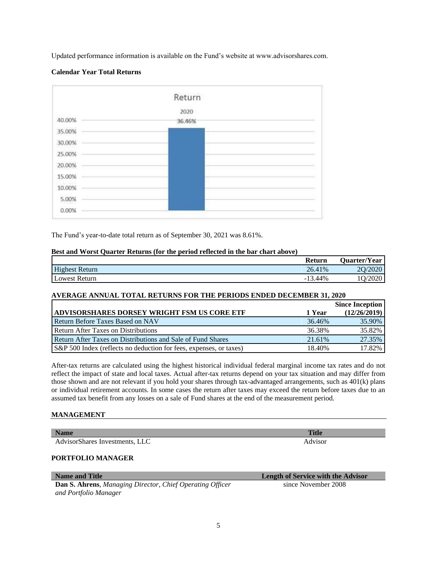Updated performance information is available on the Fund's website at www.advisorshares.com.

# **Calendar Year Total Returns**



The Fund's year-to-date total return as of September 30, 2021 was 8.61%.

## **Best and Worst Quarter Returns (for the period reflected in the bar chart above)**

|                       | Return    | Quarter/Year |
|-----------------------|-----------|--------------|
| <b>Highest Return</b> | 26.41%    | 20/2020      |
| <b>Lowest Return</b>  | $-13.44%$ | /2020        |

# **AVERAGE ANNUAL TOTAL RETURNS FOR THE PERIODS ENDED DECEMBER 31, 2020**

|                                                                     |        | <b>Since Inception</b> |
|---------------------------------------------------------------------|--------|------------------------|
| <b>ADVISORSHARES DORSEY WRIGHT FSM US CORE ETF</b>                  | 1 Year | (12/26/2019)           |
| <b>Return Before Taxes Based on NAV</b>                             | 36.46% | 35.90%                 |
| Return After Taxes on Distributions                                 | 36.38% | 35.82%                 |
| Return After Taxes on Distributions and Sale of Fund Shares         | 21.61% | 27.35%                 |
| (S&P 500 Index (reflects no deduction for fees, expenses, or taxes) | 18.40% | 17.82%                 |

After-tax returns are calculated using the highest historical individual federal marginal income tax rates and do not reflect the impact of state and local taxes. Actual after-tax returns depend on your tax situation and may differ from those shown and are not relevant if you hold your shares through tax-advantaged arrangements, such as 401(k) plans or individual retirement accounts. In some cases the return after taxes may exceed the return before taxes due to an assumed tax benefit from any losses on a sale of Fund shares at the end of the measurement period.

## **MANAGEMENT**

| <b>Name</b>                    | <b>Title</b> |
|--------------------------------|--------------|
| AdvisorShares Investments, LLC | Advisor      |
| PORTFOLIO MANAGER              |              |

**Dan S. Ahrens**, *Managing Director, Chief Operating Officer and Portfolio Manager*

**Name and Title Length of Service with the Advisor** since November 2008